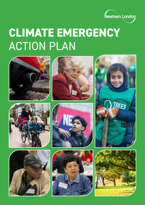

# **CLIMATE EMERGENCY**  ACTION PLAN















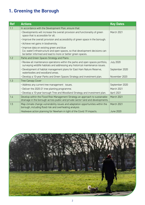# **1. Greening the Borough**

| <b>Ref</b> | <b>Actions</b>                                                                                                                                                                             | <b>Key Dates</b> |
|------------|--------------------------------------------------------------------------------------------------------------------------------------------------------------------------------------------|------------------|
| 1.1        | In accordance with the Development Plan, ensure that:                                                                                                                                      |                  |
|            | • Developments will increase the overall provision and functionality of green<br>space that is accessible for all.                                                                         | March 2021       |
|            | . Improve the overall provision and accessibility of green space in the borough.                                                                                                           |                  |
|            | · Achieve net gains in biodiversity.                                                                                                                                                       |                  |
|            | · Improve data on existing green and blue<br>(i.e. water) infrastructure and open spaces, so that development decisions can<br>be better informed and lead to more or better green spaces. |                  |
| 1.2        | Parks and Green Spaces Strategy and Plans                                                                                                                                                  |                  |
|            | · Review all maintenance operations within the parks and open spaces portfolio,<br>surveying wildlife habitats and addressing any historical maintenance issues.                           | <b>July 2020</b> |
|            | • Development of habitat management plans for East Ham Nature Reserve,<br>waterbodies and woodland areas.                                                                                  | September 2020   |
|            | . Develop a 10-year Parks and Green Spaces Strategy and investment plan.                                                                                                                   | November 2020    |
| 1.3        | <b>Tree Canopy Cover</b>                                                                                                                                                                   |                  |
|            | · Address any current tree management issues.                                                                                                                                              | September 2020   |
|            | • Deliver the 2020-21 tree planting programme.                                                                                                                                             | March 2021       |
|            | • Develop a 10-year borough Tree and Woodland Strategy and investment plan.                                                                                                                | April 2021       |
| 1.4        | Develop within the Flood Risk Management Strategy an approach to sustainable<br>drainage in the borough across public and private sector land and developments.                            | March 2021       |
| 1.5        | Map climate change vulnerability issues and adaptation opportunities within the<br>borough, including flood risk and overheating analysis                                                  | March 2021       |
|            | Heatwave action planning for Newham in light of the Covid 19 impacts.                                                                                                                      | <b>June 2020</b> |

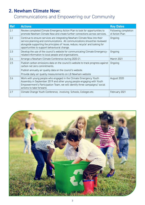## **2. Newham Climate Now:**

## Communications and Empowering our Community

| <b>Ref</b> | <b>Actions</b>                                                                                                                                                                                                                                                                             | <b>Key Dates</b>                       |
|------------|--------------------------------------------------------------------------------------------------------------------------------------------------------------------------------------------------------------------------------------------------------------------------------------------|----------------------------------------|
| 2.1        | Review completed Climate Emergency Action Plan to look for opportunities to<br>promote Newham Climate Now and create further connections across services.                                                                                                                                  | Following completion<br>of Action Plan |
| 2.2        | Continue to ensure services are integrating Newham Climate Now into their<br>service planning and communications. All communications should be reviewed<br>alongside supporting the principles of 'reuse, reduce, recycle' and looking for<br>opportunities to support behavioural change. | Ongoing                                |
| 2.3        | Develop the use of the council's website for communicating Climate Emergency-<br>related information to local people and organisations.                                                                                                                                                    | Ongoing                                |
| 2.4        | Arrange a Newham Climate Conference during 2020-21.                                                                                                                                                                                                                                        | March 2021                             |
| 2.5        | Publish carbon emissions data on the council's website to track progress against<br>carbon net zero commitments.                                                                                                                                                                           | Ongoing                                |
|            | Publish annually air quality data on the council's website.                                                                                                                                                                                                                                |                                        |
|            | Provide daily air quality measurements on LB Newham website                                                                                                                                                                                                                                |                                        |
| 2.6        | Work with young people who engaged in the Climate Emergency Youth<br>Assembly in September 2019 and other young people engaging with Youth<br>Empowerment's Participation Team, we will identify three campaigns/ social<br>actions to take forward.                                       | August 2020                            |
| 2.7        | Climate Change Youth Conference, involving Schools, Colleges etc.                                                                                                                                                                                                                          | February 2021                          |

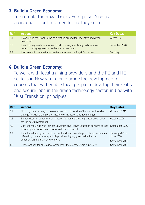#### **3. Build a Green Economy:**

To promote the Royal Docks Enterprise Zone as an incubator for the green technology sector.

| <b>Ref</b> | <b>Actions</b>                                                                                                                 | <b>Key Dates</b> |
|------------|--------------------------------------------------------------------------------------------------------------------------------|------------------|
| 3.1        | Establishing the Royal Docks as a testing ground for innovative and green<br>enterprise.                                       | Winter 2021      |
| 3.2        | Establish a green business loan fund, focusing specifically on businesses<br>demonstrating a green-focused ethos or proposals. | December 2020    |
| 3.3        | Instil an environmentally focused ethos across the Royal Docks team.                                                           | Ongoing          |

#### **4. Build a Green Economy:**

To work with local training providers and the FE and HE sectors in Newham to encourage the development of courses that will enable local people to develop their skills and secure jobs in the green technology sector, in line with 'Just Transition' principles.

| <b>Ref</b> | <b>Actions</b>                                                                                                                                                                               | <b>Key Dates</b>                              |
|------------|----------------------------------------------------------------------------------------------------------------------------------------------------------------------------------------------|-----------------------------------------------|
| 4.1        | Hold high level strategic conversations with University of London and Newham<br>College (including the London Institute of Transport and Technology)                                         | Oct - Nov 2019                                |
| 4.2        | Bid for Mayor of London's Construction Academy status to pioneer green skills<br>for the built environment.                                                                                  | October 2020                                  |
| 4.3        | Convene meetings with Further Education and Higher Education partners to take<br>forward plans for green economy skills development                                                          | September 2020                                |
| 4.4        | Established a programme of resident and staff visits to promote opportunities<br>offered by Hobs Academy, which provides digital/green skills for the<br>construction and built environment. | January 2020 -<br>June 2020<br>September 2020 |
| 4.5        | Scope options for skills development for the electric vehicle industry.                                                                                                                      | September 2020                                |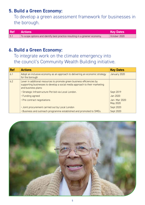#### **5. Build a Green Economy:**

To develop a green assessment framework for businesses in the borough.

|     | <b>Ref Actions</b>                                                          | Key Dates    |
|-----|-----------------------------------------------------------------------------|--------------|
| 5.1 | To scope options and identify best practice resulting in a greener economy. | October 2020 |

#### **6. Build a Green Economy:**

#### To integrate work on the climate emergency into the council's Community Wealth Building initiative.

| <b>Ref</b> | <b>Actions</b>                                                                                                                                                                | <b>Key Dates</b>         |
|------------|-------------------------------------------------------------------------------------------------------------------------------------------------------------------------------|--------------------------|
| 6.1        | Adopt an inclusive economy as an approach to delivering an economic strategy<br>for the borough                                                                               | January 2020             |
| 6.2        | Lever in additional resources to promote green business efficiencies by<br>supporting businesses to develop a social media approach to their marketing<br>and business plans: |                          |
|            | · Strategic Infrastructure Pot bid via Local London.                                                                                                                          | Sept 2019                |
|            | • Funding agreed                                                                                                                                                              | Jan 2020                 |
|            | • Pre contract negotiations                                                                                                                                                   | Jan-Mar 2020<br>May 2020 |
|            | · Joint procurement carried out by Local London                                                                                                                               | Sept 2020                |
|            | . Business and outreach programme established and promoted to SMEs.                                                                                                           | <b>Sept 2020</b>         |

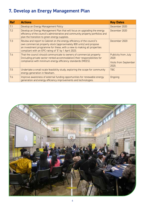# **7. Develop an Energy Management Plan**

| <b>Ref</b> | <b>Actions</b>                                                                                                                                                                                                                                                                   | <b>Key Dates</b>                                              |
|------------|----------------------------------------------------------------------------------------------------------------------------------------------------------------------------------------------------------------------------------------------------------------------------------|---------------------------------------------------------------|
| 7.1        | Develop an Energy Management Policy                                                                                                                                                                                                                                              | December 2020                                                 |
| 7.2        | Develop an Energy Management Plan that will focus on upgrading the energy<br>efficiency of the council's administrative and community property portfolios and<br>plan the transition to green energy supplies.                                                                   | December 2020                                                 |
| 7.3        | Review and report to Cabinet on the energy efficiency of the council's<br>own commercial property stock (approximately 800 units) and propose<br>an investment programme for these, with a view to making all properties<br>compliant with an EPC rating of 'E' by 1 April 2023. | December 2020                                                 |
| 7.4        | That the council should communicate to owners of commercial property<br>(including private sector rented accommodation) their responsibilities for<br>compliance with minimum energy efficiency standards (MEES).                                                                | Publicity from July<br>2020<br>Visits from September<br>2020. |
| 7.5        | Undertake a small-scale feasibility study, exploring the scope for community<br>energy generation in Newham.                                                                                                                                                                     | <b>TBC</b>                                                    |
| 7.6        | Improve awareness of external funding opportunities for renewable energy<br>generation and energy efficiency improvements and technologies.                                                                                                                                      | Ongoing                                                       |

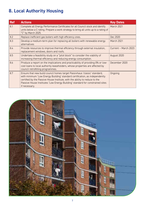# **8. Local Authority Housing**

| <b>Ref</b> | <b>Actions</b>                                                                                                                                                                                                                                                                                                                            | <b>Key Dates</b>     |
|------------|-------------------------------------------------------------------------------------------------------------------------------------------------------------------------------------------------------------------------------------------------------------------------------------------------------------------------------------------|----------------------|
| 8.1        | Complete all Energy Performance Certificates for all Council stock and identify<br>units below a C rating. Prepare a work strategy to bring all units up to a rating of<br>"C" by March 2025.                                                                                                                                             | March 2021           |
| 8.2        | Replace inefficient gas boilers with high efficiency ones.                                                                                                                                                                                                                                                                                | Dec 2020             |
| 8.3        | Develop a medium-term plan for replacing all boilers with renewable energy<br>alternatives                                                                                                                                                                                                                                                | March 2021           |
| 8.4        | Provide resources to improve thermal efficiency through external insulation,<br>replacement windows, doors and roofs.                                                                                                                                                                                                                     | Current - March 2023 |
| 8.5        | Undertake a feasibility study on a "pilot block" to consider the viability of<br>increasing thermal efficiency and reducing energy consumption.                                                                                                                                                                                           | August 2020          |
| 8.6        | Produce a report on the implications and practicability of providing 0% or low-<br>cost loans to local authority leaseholders, whose properties are affected by<br>council retrofitting programmes.                                                                                                                                       | December 2020        |
| 8.7        | Ensure that new build council homes target Passivhaus 'classic' standard,<br>with minimum 'Low Energy Building' standard certification, as independently<br>certified by the Passive House Institute, with the ability to reduce to the<br>Passive House Institutes 'Low Energy Building' standard for constrained sites<br>if necessary. | Ongoing              |

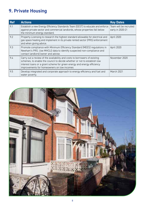## **9. Private Housing**

| <b>Ref</b> | <b>Actions</b>                                                                                                                                                                                                                                                                 | <b>Key Dates</b>                           |
|------------|--------------------------------------------------------------------------------------------------------------------------------------------------------------------------------------------------------------------------------------------------------------------------------|--------------------------------------------|
| 9.1        | Establish a new Energy Efficiency Standards Team (EEST) to educate and enforce<br>against private sector and commercial landlords, whose properties fall below<br>the minimum energy standard.                                                                                 | Team will be recruited<br>early in 2020-21 |
| 9.2        | Property Licensing to research the highest standard allowable for electrical and<br>gas space heating and implement in its private rented sector (PRS) enforcement<br>and when giving advice.                                                                                  | April 2020                                 |
| 9.3        | Promote compliance with Minimum Efficiency Standard (MEES) regulations in<br>Newham's PRS. Use MHCLG data to identify suspected non-compliance and<br>contact landlord/owner and advise.                                                                                       | April 2020                                 |
| 9.4        | Carry out a review of the availability and costs to borrowers of existing<br>schemes, to enable the council to decide whether or not to establish low<br>interest loans or a grant scheme for green energy and energy efficiency<br>improvements for homeowners on low incomes | November 2020                              |
| 9.5        | Develop integrated and corporate approach to energy efficiency and fuel and<br>water poverty.                                                                                                                                                                                  | March 2021                                 |

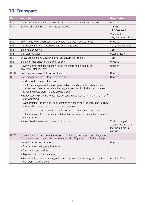# **10. Transport**

| Ref   | <b>Actions</b>                                                                                                                                                                                              | <b>Key Dates</b>                                                            |
|-------|-------------------------------------------------------------------------------------------------------------------------------------------------------------------------------------------------------------|-----------------------------------------------------------------------------|
| 10.1  | Continued investment in sustainable and active travel networks and events                                                                                                                                   | Ongoing                                                                     |
| 10.2  | Electric Charging Point Infrastructure Rollout                                                                                                                                                              | Tranche 1<br>- by July 2020                                                 |
|       |                                                                                                                                                                                                             | Tranche 2<br>- By December 2020                                             |
| 10.3  | Low Traffic Neighbourhood and Liveable Neighbourhood schemes                                                                                                                                                | Ongoing                                                                     |
| 10.4  | Introduce emissions-based residential parking scheme                                                                                                                                                        | Sept/October 2020                                                           |
| 10.5  | <b>Bike Hire Schemes</b>                                                                                                                                                                                    | <b>TBD</b>                                                                  |
| 10.6  | Car Club Vehicles                                                                                                                                                                                           | October 2020                                                                |
| 10.7  | Local Greening and Environmental Enhancement Projects                                                                                                                                                       | <b>TBD</b>                                                                  |
| 10.8  | School Street Schemes and Play Streets                                                                                                                                                                      | Ongoing                                                                     |
| 10.9  | Environmental Monitoring (Monitoring the effect on air quality of<br>environmental schemes)                                                                                                                 | Ongoing                                                                     |
| 10.10 | Lobbying for Regional Transport Measures                                                                                                                                                                    | Ongoing                                                                     |
| 10.11 | Emerging Green Travel Plan (details below):                                                                                                                                                                 | Ongoing                                                                     |
|       | . Reducing the demand for travel                                                                                                                                                                            |                                                                             |
|       | · Identify colleagues within a range of walkable and cyclable distances, via<br>staff survey or secondary data, for targeted support (including personalised<br>travel and route planning and guided walks) |                                                                             |
|       | • Buddy walking scheme to address personal safety concerns and make it fun/<br>staff wellbeing                                                                                                              |                                                                             |
|       | • Cycle training - much heavier promotion of existing service, including journey<br>buddy scheme and regular slots at all locations.                                                                        |                                                                             |
|       | • Purchase bikes and e-bikes for staff short and long term use and loan                                                                                                                                     |                                                                             |
|       | . Fully managed third party staff e-bikes fleet scheme, including training and<br>maintenance                                                                                                               |                                                                             |
|       | · Borough wide e-scooter scooter for hire trial                                                                                                                                                             | Trial will begin in<br>August, but this date<br>may be subject to<br>change |
| 10.12 | To continue to review compliance with all planning conditions and obligations<br>for operation and construction works at London City Airport (LCY) including:                                               |                                                                             |
|       | · Annual performance report,                                                                                                                                                                                | Ongoing                                                                     |
|       | · Quarterly reporting requirements.                                                                                                                                                                         |                                                                             |
|       | · Complaints monitoring                                                                                                                                                                                     |                                                                             |
|       | · Regular compliance meetings                                                                                                                                                                               |                                                                             |
|       | · Review of 3 yearly air quality, noise and sustainability strategy in compliance<br>with planning conditions                                                                                               | October 2020                                                                |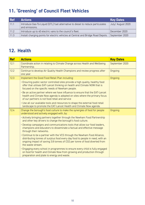# **11. 'Greening' of Council Fleet Vehicles**

| <b>Ref</b> | <b>Actions</b>                                                                                    | <b>Key Dates</b> |
|------------|---------------------------------------------------------------------------------------------------|------------------|
| 11.1       | Introduce Gas-To-Liquid (GTL) fuel alternative to diesel to reduce particulates<br>and emissions. | July/August 2020 |
| 11.2       | Introduce up to 40 electric vans to the council's fleet.                                          | December 2020    |
| 11.3       | Install charging points for electric vehicles at Central and Bridge Road Depots.                  | September 2020   |

## **12. Health**

| <b>Ref</b> | <b>Actions</b>                                                                                                                                                                                                                                                | <b>Key Dates</b> |
|------------|---------------------------------------------------------------------------------------------------------------------------------------------------------------------------------------------------------------------------------------------------------------|------------------|
| 12.1       | Coordinate action in relating to Climate Change across Health and Wellbeing<br>Partnership.                                                                                                                                                                   | September 2020   |
| 12.2       | Continue to develop Air Quality Health Champions and review progress after<br>one year.                                                                                                                                                                       | Ongoing          |
| 12.3       | Implement the Good Food Retail Plan including:                                                                                                                                                                                                                | Ongoing          |
|            | . Ensuring public sector controlled sites provide a high quality, healthy food<br>offer that utilises EAT-Lancet thinking on health and Climate NOW that is<br>focused on the specific needs of Newham people.                                                |                  |
|            | . Be an active partner where we have influence to ensure that the EAT-Lancet<br>health and Climate Now agenda is adopted on sites where the primary focus<br>of our partners is not food retail and service                                                   |                  |
|            | . Use all our available tools and resources to shape the external food retail<br>landscape to promote the EAT-Lancet Health and Climate Now agenda.                                                                                                           |                  |
| 12.4       | Change the borough's food culture to make the synergies of food for people<br>understood and actively engaged with, by:                                                                                                                                       | Ongoing          |
|            | • Actively bringing partners together through the Newham Food Partnership<br>and other key drivers to change the borough's food culture.                                                                                                                      |                  |
|            | • Develop campaigns and communications tools that allow our food leaders,<br>champions and educators to disseminate a factual and effective message<br>through their networks.                                                                                |                  |
|            | • Continue to be a partner with the VCS through the Newham Food Alliance,<br>distributing tonnes of surplus food every day food to people in need, with an<br>ongoing impact of saving 3.8 tonnes of CO2 per tonne of food diverted from<br>the waste stream. |                  |
|            | . Engaging every school in programmes to ensure every child is fully engaged<br>on food for health and Climate Now from growing and production through<br>preparation and plate to energy and waste.                                                          |                  |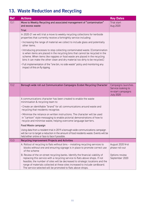## **13. Waste Reduction and Recycling**

| <b>Ref</b> | <b>Actions</b>                                                                                                                                                                                                                                                                                                                                                                                  | <b>Key Dates</b>                                                                    |
|------------|-------------------------------------------------------------------------------------------------------------------------------------------------------------------------------------------------------------------------------------------------------------------------------------------------------------------------------------------------------------------------------------------------|-------------------------------------------------------------------------------------|
| 13.1       | Move to Weekly Recycling and associated management of "contamination"<br>and excess waste                                                                                                                                                                                                                                                                                                       | Trial start<br>Aug 2020                                                             |
|            | Trial:                                                                                                                                                                                                                                                                                                                                                                                          |                                                                                     |
|            | In 2020-21 we will trial a move to weekly recycling collections for kerbside<br>properties that currently receive a fortnightly service including:                                                                                                                                                                                                                                              |                                                                                     |
|            | . Increasing the range of material we collect to include glass and potentially<br>other items.                                                                                                                                                                                                                                                                                                  |                                                                                     |
|            | . Introducing processes to stop collecting contaminated waste. (Contamination<br>is when items are placed in the recycling bins that cannot be recycled in the<br>scheme. When items like nappies or food waste are placed in the recycling<br>bins it can make the other clean and dry material too dirty to be recycled.)                                                                     |                                                                                     |
|            | • Full implementation of the "one bin, no side waste" policy and monitoring any<br>impact of this on fly tipping.                                                                                                                                                                                                                                                                               |                                                                                     |
| 13.2       | Borough wide roll out Communication Campaigns Ecobot Recycling Character                                                                                                                                                                                                                                                                                                                        | Campaigns launches.<br>Service looking to<br>re-start campaigns<br><b>July 2020</b> |
|            | A communications character has been created to enable the waste<br>minimisation & recycling team to:                                                                                                                                                                                                                                                                                            |                                                                                     |
|            | • Create an identifiable "brand" for all communications around waste and<br>recycling that residents recognise.                                                                                                                                                                                                                                                                                 |                                                                                     |
|            | • Minimise the reliance on written instructions. The character will be used<br>in "cartoon" style messaging to enable pictorial demonstrations of how to<br>recycle and minimise waste, helping overcome language barriers.                                                                                                                                                                     |                                                                                     |
|            | Food Waste campaign                                                                                                                                                                                                                                                                                                                                                                             |                                                                                     |
|            | Using data from a resident trial in 2019 a borough-wide communications campaign<br>will be run to target a reduction in the amount of food residents waste. Events will be<br>held either online or face to face if possible.                                                                                                                                                                   |                                                                                     |
| 13.3       | Recycling Improvement Projects and Activities                                                                                                                                                                                                                                                                                                                                                   |                                                                                     |
|            | A. Rollout of recycling to flats without bins - installing recycling services to<br>blocks without one and ensuring signage is in place to promote correct use<br>of the scheme                                                                                                                                                                                                                 | August 2020 first<br>phase roll-out                                                 |
|            | B. Review of the on-street recycling banks. Identify the financial viability of<br>replacing this service with a recycling service to flats above shops. If not<br>feasible, the number of sites will be decreased to strategic locations and the<br>range of materials collected at these sites increased to include cardboard.<br>The service selected will be promoted to flats above shops. | Options review<br>September 2020                                                    |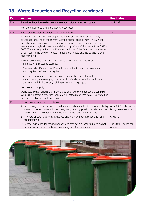# **13. Waste Reduction and Recycling** *continued*

| <b>Ref</b> | <b>Actions</b>                                                                                                                                                                                                                                                                                                                                                                                                                                                                                        | <b>Key Dates</b>                              |
|------------|-------------------------------------------------------------------------------------------------------------------------------------------------------------------------------------------------------------------------------------------------------------------------------------------------------------------------------------------------------------------------------------------------------------------------------------------------------------------------------------------------------|-----------------------------------------------|
| 13.4       | Introduce boundary collection and remodel refuse collection rounds                                                                                                                                                                                                                                                                                                                                                                                                                                    | April 2021                                    |
|            | Vehicle movements and fuel usage will decrease                                                                                                                                                                                                                                                                                                                                                                                                                                                        |                                               |
| 13.5       | East London Waste Strategy - 2027 and beyond                                                                                                                                                                                                                                                                                                                                                                                                                                                          | 2022                                          |
|            | As the four East London boroughs and the East London Waste Authority<br>prepare for the end of the current waste disposal procurement in 2027, the<br>first phase of planning is to create a waste strategy, forecasting how much<br>waste the borough will produce and the composition of this waste from 2027 to<br>2053. The strategy will also outline the ambitions of the four councils in terms<br>of decreasing the environmental impact of our waste and increasing re-use<br>and recycling. |                                               |
|            | A communications character has been created to enable the waste<br>minimisation & recycling team to:                                                                                                                                                                                                                                                                                                                                                                                                  |                                               |
|            | • Create an identifiable "brand" for all communications around waste and<br>recycling that residents recognise.                                                                                                                                                                                                                                                                                                                                                                                       |                                               |
|            | • Minimise the reliance on written instructions. The character will be used<br>in "cartoon" style messaging to enable pictorial demonstrations of how to<br>recycle and minimise waste, helping overcome language barriers.                                                                                                                                                                                                                                                                           |                                               |
|            | Food Waste campaign                                                                                                                                                                                                                                                                                                                                                                                                                                                                                   |                                               |
|            | Using data from a resident trial in 2019 a borough-wide communications campaign<br>will be run to target a reduction in the amount of food residents waste. Events will be<br>held either online or face to face if possible.                                                                                                                                                                                                                                                                         |                                               |
| 13.6       | Reduce Waste and Increase Re-use                                                                                                                                                                                                                                                                                                                                                                                                                                                                      |                                               |
|            | A. Decreasing the number of free collections each household receives for bulky<br>waste to two per household per year, alongside signposting residents to re-<br>use options like Homestore and Reclaim at the Lane and Freecycle.                                                                                                                                                                                                                                                                    | April 2020 - change to<br>bulky waste service |
|            | B. Promote circular economy initiatives and work with local reuse and repair<br>organisations.                                                                                                                                                                                                                                                                                                                                                                                                        | Ongoing                                       |
|            | C. Restricting waste: Identifying households that have a larger bin and do not<br>have six or more residents and switching bins for the standard                                                                                                                                                                                                                                                                                                                                                      | Jan 2021 - container<br>review                |

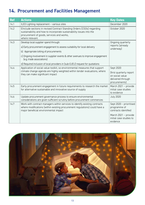# **14. Procurement and Facilities Management**

| <b>Ref</b> | <b>Actions</b>                                                                                                                                                                                                 | <b>Key Dates</b>                                                                 |
|------------|----------------------------------------------------------------------------------------------------------------------------------------------------------------------------------------------------------------|----------------------------------------------------------------------------------|
| 14.1       | ILED Lighting replacement - various sites                                                                                                                                                                      | December 2020                                                                    |
| 14.2       | EInclude sections in revised Contract Standing Orders (CSOs) regarding<br>sustainability and how to incorporate sustainability issues into the<br>procurement of goods, services and works,<br>where relevant. | October 2020                                                                     |
| 14.3       | Develop local supplier spend through:                                                                                                                                                                          | Ongoing quarterly<br>reports (already<br>underway)                               |
|            | a) Early procurement engagement to assess suitability for local delivery                                                                                                                                       |                                                                                  |
|            | b) Appropriate lotting of procurements                                                                                                                                                                         |                                                                                  |
|            | c) Ongoing involvement in supplier events & other avenues to improve engagement<br>(e.g. trade associations)                                                                                                   |                                                                                  |
|            | d) Required inclusion of local providers in (sub-OJEU) request for quotations                                                                                                                                  |                                                                                  |
| 14.4       | Application of social value toolkit, so environmental measures that support                                                                                                                                    | Sept 2020                                                                        |
|            | climate change agenda are highly weighted within tender evaluations, where<br>they can make significant impact                                                                                                 | (first quarterly report<br>on social value<br>delivered through<br>procurements) |
| 14.5       | Early procurement engagement in future requirements to research the market<br>for alternative sustainable and innovative source of supply                                                                      | March 2021 - provide<br>initial case studies<br>to evidence                      |
| 14.6       | Update procurement governance process to ensure environmental<br>considerations are given sufficient scrutiny before procurement commences                                                                     | <b>July 2020</b>                                                                 |
| 14.7       | Work with contract managers within services to identify existing contracts<br>where modifications (within existing procurement regulations) could have a<br>major beneficial environmental impact              | Sept 2020 - prioritised<br>programme of<br>contracts identified                  |
|            |                                                                                                                                                                                                                | March 2021 - provide<br>initial case studies to<br>evidence                      |